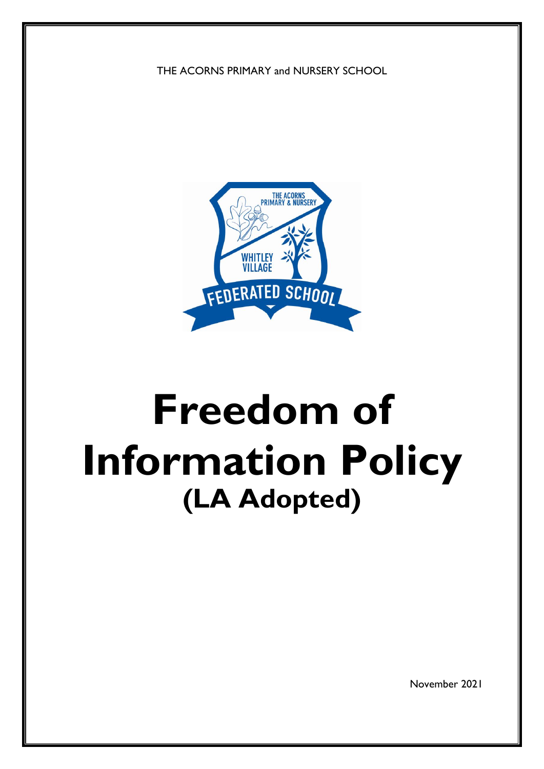THE ACORNS PRIMARY and NURSERY SCHOOL



# **Freedom of Information Policy (LA Adopted)**

November 2021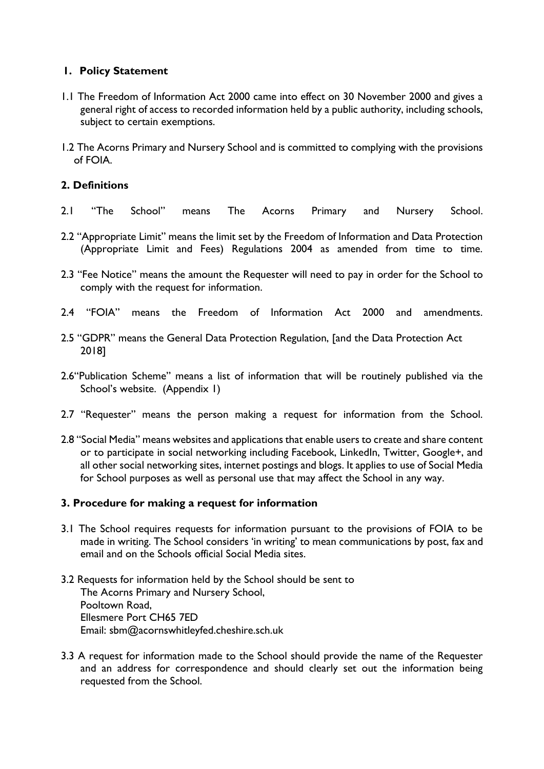#### **1. Policy Statement**

- 1.1 The Freedom of Information Act 2000 came into effect on 30 November 2000 and gives a general right of access to recorded information held by a public authority, including schools, subject to certain exemptions.
- 1.2 The Acorns Primary and Nursery School and is committed to complying with the provisions of FOIA.

# **2. Definitions**

- 2.1 "The School" means The Acorns Primary and Nursery School.
- 2.2 "Appropriate Limit" means the limit set by the Freedom of Information and Data Protection (Appropriate Limit and Fees) Regulations 2004 as amended from time to time.
- 2.3 "Fee Notice" means the amount the Requester will need to pay in order for the School to comply with the request for information.
- 2.4 "FOIA" means the Freedom of Information Act 2000 and amendments.
- 2.5 "GDPR" means the General Data Protection Regulation, [and the Data Protection Act 2018]
- 2.6"Publication Scheme" means a list of information that will be routinely published via the School's website. (Appendix 1)
- 2.7 "Requester" means the person making a request for information from the School.
- 2.8 "Social Media" means websites and applications that enable users to create and share content or to participate in social networking including Facebook, LinkedIn, Twitter, Google+, and all other social networking sites, internet postings and blogs. It applies to use of Social Media for School purposes as well as personal use that may affect the School in any way.

#### **3. Procedure for making a request for information**

- 3.1 The School requires requests for information pursuant to the provisions of FOIA to be made in writing. The School considers 'in writing' to mean communications by post, fax and email and on the Schools official Social Media sites.
- 3.2 Requests for information held by the School should be sent to The Acorns Primary and Nursery School, Pooltown Road, Ellesmere Port CH65 7ED Email: sbm@acornswhitleyfed.cheshire.sch.uk
- 3.3 A request for information made to the School should provide the name of the Requester and an address for correspondence and should clearly set out the information being requested from the School.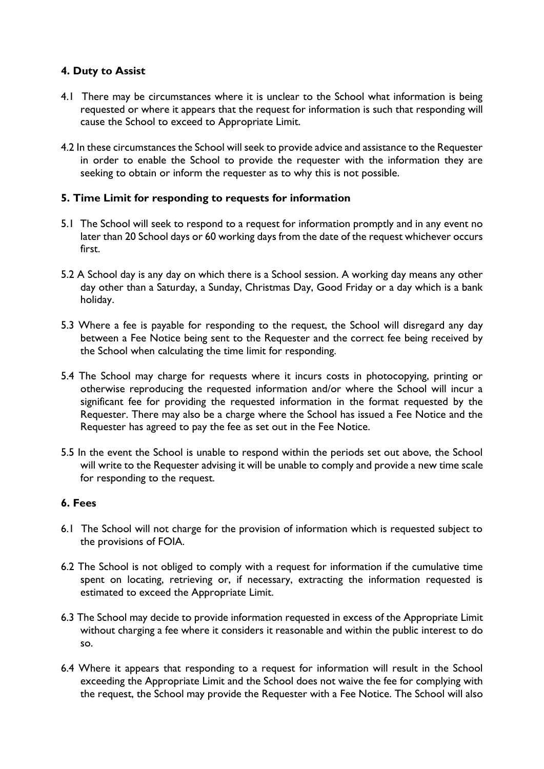#### **4. Duty to Assist**

- 4.1 There may be circumstances where it is unclear to the School what information is being requested or where it appears that the request for information is such that responding will cause the School to exceed to Appropriate Limit.
- 4.2 In these circumstances the School will seek to provide advice and assistance to the Requester in order to enable the School to provide the requester with the information they are seeking to obtain or inform the requester as to why this is not possible.

## **5. Time Limit for responding to requests for information**

- 5.1 The School will seek to respond to a request for information promptly and in any event no later than 20 School days or 60 working days from the date of the request whichever occurs first.
- 5.2 A School day is any day on which there is a School session. A working day means any other day other than a Saturday, a Sunday, Christmas Day, Good Friday or a day which is a bank holiday.
- 5.3 Where a fee is payable for responding to the request, the School will disregard any day between a Fee Notice being sent to the Requester and the correct fee being received by the School when calculating the time limit for responding.
- 5.4 The School may charge for requests where it incurs costs in photocopying, printing or otherwise reproducing the requested information and/or where the School will incur a significant fee for providing the requested information in the format requested by the Requester. There may also be a charge where the School has issued a Fee Notice and the Requester has agreed to pay the fee as set out in the Fee Notice.
- 5.5 In the event the School is unable to respond within the periods set out above, the School will write to the Requester advising it will be unable to comply and provide a new time scale for responding to the request.

#### **6. Fees**

- 6.1 The School will not charge for the provision of information which is requested subject to the provisions of FOIA.
- 6.2 The School is not obliged to comply with a request for information if the cumulative time spent on locating, retrieving or, if necessary, extracting the information requested is estimated to exceed the Appropriate Limit.
- 6.3 The School may decide to provide information requested in excess of the Appropriate Limit without charging a fee where it considers it reasonable and within the public interest to do so.
- 6.4 Where it appears that responding to a request for information will result in the School exceeding the Appropriate Limit and the School does not waive the fee for complying with the request, the School may provide the Requester with a Fee Notice. The School will also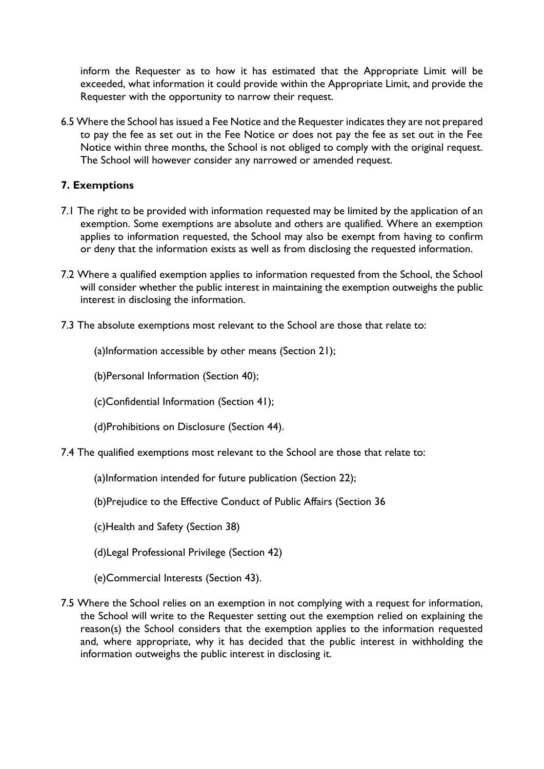inform the Requester as to how it has estimated that the Appropriate Limit will be exceeded, what information it could provide within the Appropriate Limit, and provide the Requester with the opportunity to narrow their request.

6.5 Where the School has issued a Fee Notice and the Requester indicates they are not prepared to pay the fee as set out in the Fee Notice or does not pay the fee as set out in the Fee Notice within three months, the School is not obliged to comply with the original request. The School will however consider any narrowed or amended request.

# **7. Exemptions**

- 7.1 The right to be provided with information requested may be limited by the application of an exemption. Some exemptions are absolute and others are qualified. Where an exemption applies to information requested, the School may also be exempt from having to confirm or deny that the information exists as well as from disclosing the requested information.
- 7.2 Where a qualified exemption applies to information requested from the School, the School will consider whether the public interest in maintaining the exemption outweighs the public interest in disclosing the information.
- 7.3 The absolute exemptions most relevant to the School are those that relate to:

(a)Information accessible by other means (Section 21);

(b)Personal Information (Section 40);

(c)Confidential Information (Section 41);

- (d)Prohibitions on Disclosure (Section 44).
- 7.4 The qualified exemptions most relevant to the School are those that relate to:
	- (a)Information intended for future publication (Section 22);
	- (b)Prejudice to the Effective Conduct of Public Affairs (Section 36
	- (c)Health and Safety (Section 38)
	- (d)Legal Professional Privilege (Section 42)
	- (e)Commercial Interests (Section 43).
- 7.5 Where the School relies on an exemption in not complying with a request for information, the School will write to the Requester setting out the exemption relied on explaining the reason(s) the School considers that the exemption applies to the information requested and, where appropriate, why it has decided that the public interest in withholding the information outweighs the public interest in disclosing it.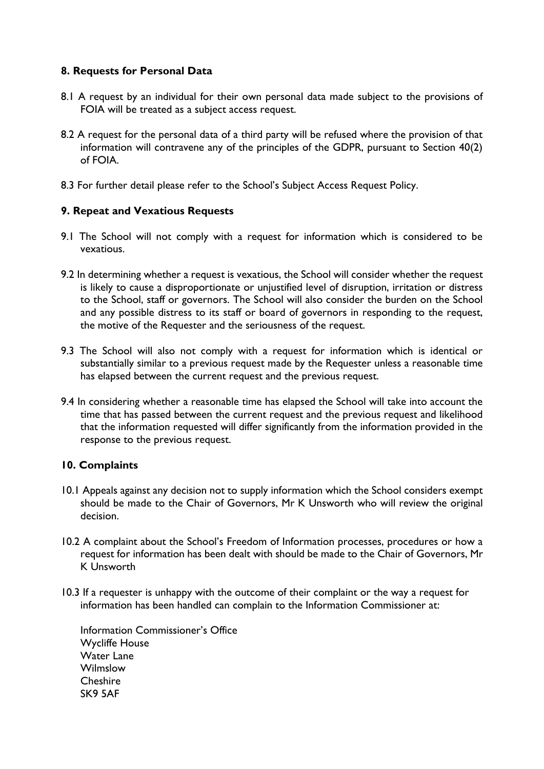#### **8. Requests for Personal Data**

- 8.1 A request by an individual for their own personal data made subject to the provisions of FOIA will be treated as a subject access request.
- 8.2 A request for the personal data of a third party will be refused where the provision of that information will contravene any of the principles of the GDPR, pursuant to Section 40(2) of FOIA.
- 8.3 For further detail please refer to the School's Subject Access Request Policy.

#### **9. Repeat and Vexatious Requests**

- 9.1 The School will not comply with a request for information which is considered to be vexatious.
- 9.2 In determining whether a request is vexatious, the School will consider whether the request is likely to cause a disproportionate or unjustified level of disruption, irritation or distress to the School, staff or governors. The School will also consider the burden on the School and any possible distress to its staff or board of governors in responding to the request, the motive of the Requester and the seriousness of the request.
- 9.3 The School will also not comply with a request for information which is identical or substantially similar to a previous request made by the Requester unless a reasonable time has elapsed between the current request and the previous request.
- 9.4 In considering whether a reasonable time has elapsed the School will take into account the time that has passed between the current request and the previous request and likelihood that the information requested will differ significantly from the information provided in the response to the previous request.

#### **10. Complaints**

- 10.1 Appeals against any decision not to supply information which the School considers exempt should be made to the Chair of Governors, Mr K Unsworth who will review the original decision.
- 10.2 A complaint about the School's Freedom of Information processes, procedures or how a request for information has been dealt with should be made to the Chair of Governors, Mr K Unsworth
- 10.3 If a requester is unhappy with the outcome of their complaint or the way a request for information has been handled can complain to the Information Commissioner at:

Information Commissioner's Office Wycliffe House Water Lane Wilmslow **Cheshire** SK9 5AF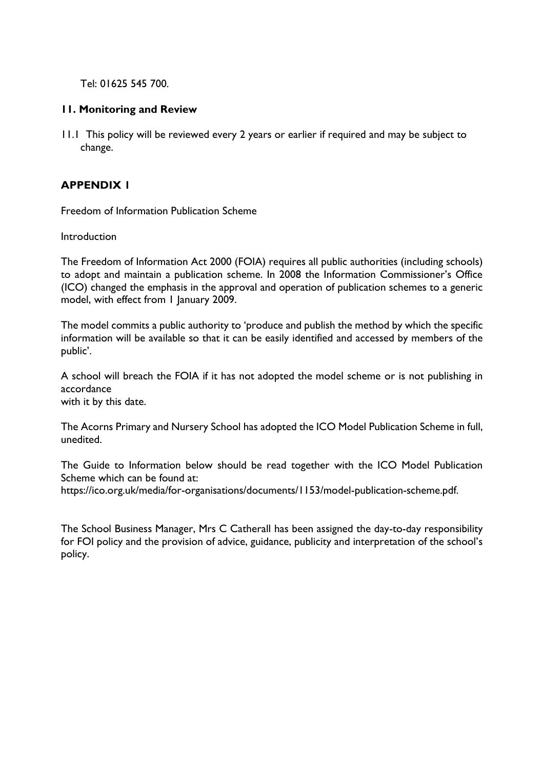Tel: 01625 545 700.

#### **11. Monitoring and Review**

11.1 This policy will be reviewed every 2 years or earlier if required and may be subject to change.

## **APPENDIX 1**

Freedom of Information Publication Scheme

Introduction

The Freedom of Information Act 2000 (FOIA) requires all public authorities (including schools) to adopt and maintain a publication scheme. In 2008 the Information Commissioner's Office (ICO) changed the emphasis in the approval and operation of publication schemes to a generic model, with effect from 1 January 2009.

The model commits a public authority to 'produce and publish the method by which the specific information will be available so that it can be easily identified and accessed by members of the public'.

A school will breach the FOIA if it has not adopted the model scheme or is not publishing in accordance

with it by this date.

The Acorns Primary and Nursery School has adopted the ICO Model Publication Scheme in full, unedited.

The Guide to Information below should be read together with the ICO Model Publication Scheme which can be found at:

https://ico.org.uk/media/for-organisations/documents/1153/model-publication-scheme.pdf.

The School Business Manager, Mrs C Catherall has been assigned the day-to-day responsibility for FOI policy and the provision of advice, guidance, publicity and interpretation of the school's policy.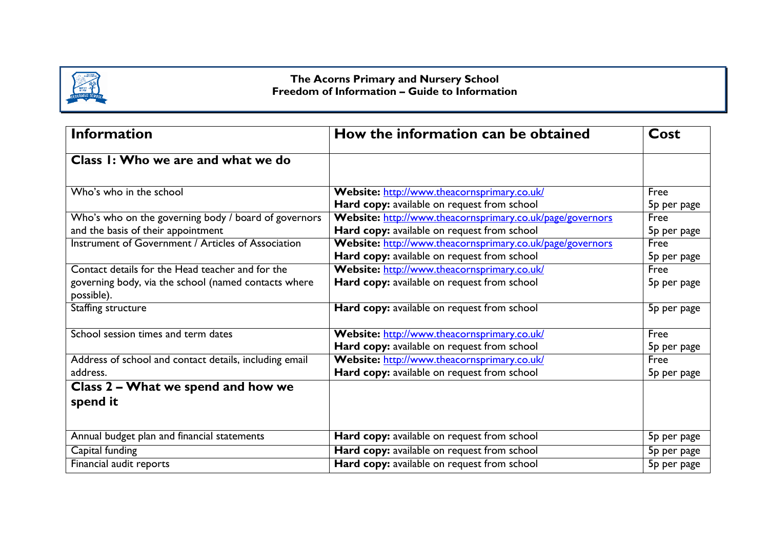

#### **The Acorns Primary and Nursery School Freedom of Information – Guide to Information**

| <b>Information</b>                                                 | How the information can be obtained                       |                         |
|--------------------------------------------------------------------|-----------------------------------------------------------|-------------------------|
| Class I: Who we are and what we do                                 |                                                           |                         |
| Who's who in the school                                            | Website: http://www.theacornsprimary.co.uk/               | Free                    |
|                                                                    | Hard copy: available on request from school               | 5p per page             |
| Who's who on the governing body / board of governors               | Website: http://www.theacornsprimary.co.uk/page/governors | Free                    |
| and the basis of their appointment                                 | Hard copy: available on request from school               | 5p per page             |
| Instrument of Government / Articles of Association                 | Website: http://www.theacornsprimary.co.uk/page/governors | Free                    |
|                                                                    | Hard copy: available on request from school               | 5p per page             |
| Contact details for the Head teacher and for the                   | Website: http://www.theacornsprimary.co.uk/               | Free                    |
| governing body, via the school (named contacts where<br>possible). | Hard copy: available on request from school               | 5p per page             |
| Staffing structure                                                 | Hard copy: available on request from school               | 5p per page             |
| School session times and term dates                                | Website: http://www.theacornsprimary.co.uk/               | Free                    |
|                                                                    | Hard copy: available on request from school               | 5 <sub>p</sub> per page |
| Address of school and contact details, including email             | Website: http://www.theacornsprimary.co.uk/               | Free                    |
| address.                                                           | Hard copy: available on request from school               | 5p per page             |
| Class 2 – What we spend and how we                                 |                                                           |                         |
| spend it                                                           |                                                           |                         |
|                                                                    |                                                           |                         |
| Annual budget plan and financial statements                        | Hard copy: available on request from school               | 5p per page             |
| Capital funding                                                    | Hard copy: available on request from school               | 5p per page             |
| Financial audit reports                                            | Hard copy: available on request from school               | 5p per page             |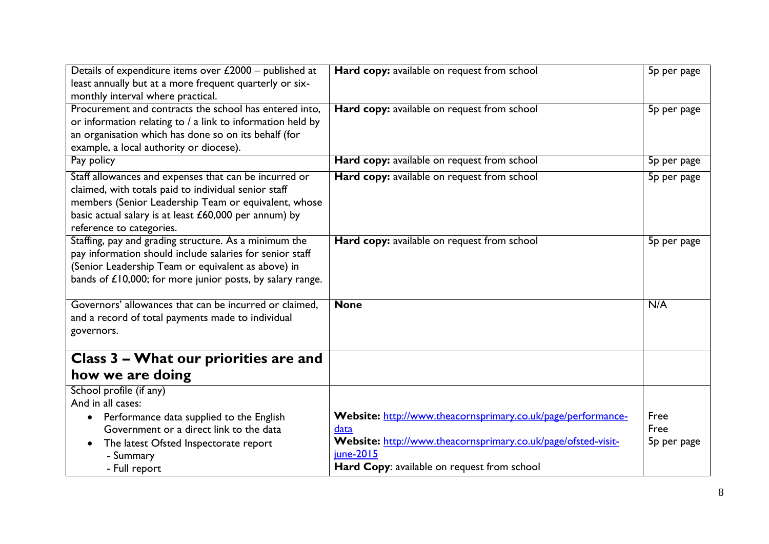| Details of expenditure items over $£2000 -$ published at<br>least annually but at a more frequent quarterly or six- | Hard copy: available on request from school                   | 5p per page |
|---------------------------------------------------------------------------------------------------------------------|---------------------------------------------------------------|-------------|
| monthly interval where practical.                                                                                   |                                                               |             |
| Procurement and contracts the school has entered into,                                                              | Hard copy: available on request from school                   | 5p per page |
| or information relating to / a link to information held by                                                          |                                                               |             |
| an organisation which has done so on its behalf (for                                                                |                                                               |             |
| example, a local authority or diocese).                                                                             |                                                               |             |
| Pay policy                                                                                                          | Hard copy: available on request from school                   | 5p per page |
| Staff allowances and expenses that can be incurred or                                                               | Hard copy: available on request from school                   | 5p per page |
| claimed, with totals paid to individual senior staff                                                                |                                                               |             |
| members (Senior Leadership Team or equivalent, whose                                                                |                                                               |             |
| basic actual salary is at least £60,000 per annum) by                                                               |                                                               |             |
| reference to categories.                                                                                            |                                                               |             |
| Staffing, pay and grading structure. As a minimum the                                                               | Hard copy: available on request from school                   | 5p per page |
| pay information should include salaries for senior staff<br>(Senior Leadership Team or equivalent as above) in      |                                                               |             |
| bands of £10,000; for more junior posts, by salary range.                                                           |                                                               |             |
|                                                                                                                     |                                                               |             |
| Governors' allowances that can be incurred or claimed,                                                              | <b>None</b>                                                   | N/A         |
| and a record of total payments made to individual                                                                   |                                                               |             |
| governors.                                                                                                          |                                                               |             |
|                                                                                                                     |                                                               |             |
| Class 3 - What our priorities are and                                                                               |                                                               |             |
| how we are doing                                                                                                    |                                                               |             |
| School profile (if any)                                                                                             |                                                               |             |
| And in all cases:                                                                                                   |                                                               |             |
| Performance data supplied to the English<br>$\bullet$                                                               | Website: http://www.theacornsprimary.co.uk/page/performance-  | Free        |
| Government or a direct link to the data                                                                             | data                                                          | Free        |
| The latest Ofsted Inspectorate report                                                                               | Website: http://www.theacornsprimary.co.uk/page/ofsted-visit- | 5p per page |
| - Summary                                                                                                           | june-2015                                                     |             |
| - Full report                                                                                                       | Hard Copy: available on request from school                   |             |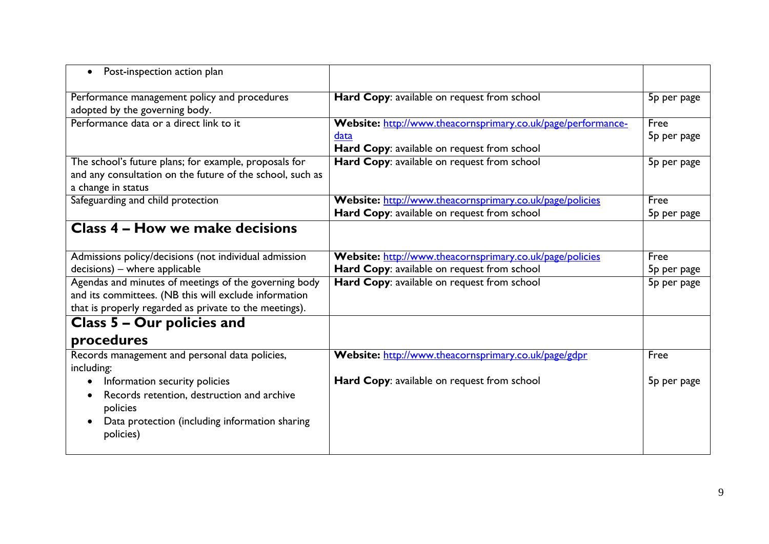| Post-inspection action plan                                                    |                                                              |             |
|--------------------------------------------------------------------------------|--------------------------------------------------------------|-------------|
| Performance management policy and procedures<br>adopted by the governing body. | Hard Copy: available on request from school                  | 5p per page |
| Performance data or a direct link to it                                        | Website: http://www.theacornsprimary.co.uk/page/performance- | Free        |
|                                                                                | data                                                         | 5p per page |
|                                                                                | Hard Copy: available on request from school                  |             |
| The school's future plans; for example, proposals for                          | Hard Copy: available on request from school                  | 5p per page |
| and any consultation on the future of the school, such as                      |                                                              |             |
| a change in status                                                             |                                                              |             |
| Safeguarding and child protection                                              | Website: http://www.theacornsprimary.co.uk/page/policies     | Free        |
|                                                                                | Hard Copy: available on request from school                  | 5p per page |
| <b>Class 4 - How we make decisions</b>                                         |                                                              |             |
|                                                                                |                                                              |             |
| Admissions policy/decisions (not individual admission                          | Website: http://www.theacornsprimary.co.uk/page/policies     | Free        |
| decisions) - where applicable                                                  | Hard Copy: available on request from school                  | 5p per page |
| Agendas and minutes of meetings of the governing body                          | Hard Copy: available on request from school                  | 5p per page |
| and its committees. (NB this will exclude information                          |                                                              |             |
| that is properly regarded as private to the meetings).                         |                                                              |             |
| Class 5 – Our policies and                                                     |                                                              |             |
| procedures                                                                     |                                                              |             |
| Records management and personal data policies,                                 | Website: http://www.theacornsprimary.co.uk/page/gdpr         | Free        |
| including:                                                                     |                                                              |             |
| Information security policies                                                  | Hard Copy: available on request from school                  | 5p per page |
| Records retention, destruction and archive                                     |                                                              |             |
| policies                                                                       |                                                              |             |
| Data protection (including information sharing                                 |                                                              |             |
| policies)                                                                      |                                                              |             |
|                                                                                |                                                              |             |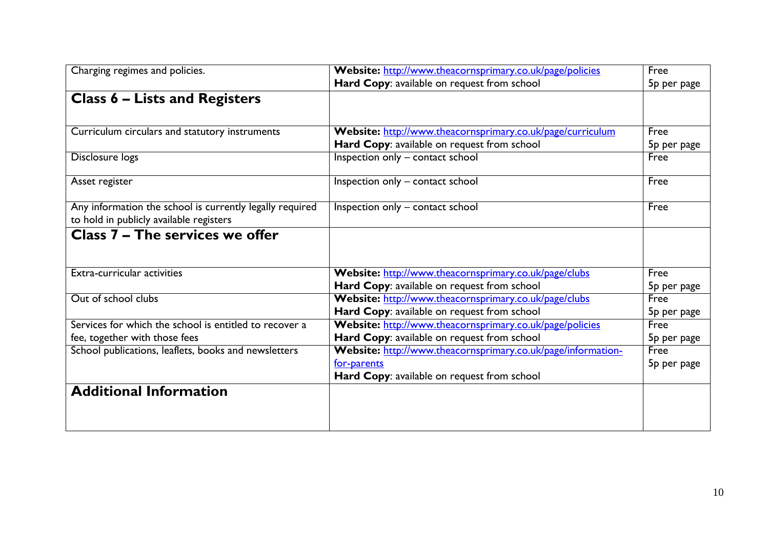| Charging regimes and policies.                                                                      | Website: http://www.theacornsprimary.co.uk/page/policies     | Free                    |
|-----------------------------------------------------------------------------------------------------|--------------------------------------------------------------|-------------------------|
|                                                                                                     | Hard Copy: available on request from school                  | 5 <sub>p</sub> per page |
| <b>Class 6 – Lists and Registers</b>                                                                |                                                              |                         |
|                                                                                                     |                                                              |                         |
| Curriculum circulars and statutory instruments                                                      | Website: http://www.theacornsprimary.co.uk/page/curriculum   | Free                    |
|                                                                                                     | Hard Copy: available on request from school                  | 5p per page             |
| Disclosure logs                                                                                     | Inspection only - contact school                             | Free                    |
| Asset register                                                                                      | Inspection only - contact school                             | Free                    |
| Any information the school is currently legally required<br>to hold in publicly available registers | Inspection only - contact school                             | Free                    |
| Class 7 – The services we offer                                                                     |                                                              |                         |
| Extra-curricular activities                                                                         | Website: http://www.theacornsprimary.co.uk/page/clubs        | Free                    |
|                                                                                                     | Hard Copy: available on request from school                  | 5p per page             |
| Out of school clubs                                                                                 | Website: http://www.theacornsprimary.co.uk/page/clubs        | Free                    |
|                                                                                                     | Hard Copy: available on request from school                  | 5p per page             |
| Services for which the school is entitled to recover a                                              | Website: http://www.theacornsprimary.co.uk/page/policies     | Free                    |
| fee, together with those fees                                                                       | Hard Copy: available on request from school                  | 5p per page             |
| School publications, leaflets, books and newsletters                                                | Website: http://www.theacornsprimary.co.uk/page/information- | Free                    |
|                                                                                                     | for-parents                                                  | 5p per page             |
|                                                                                                     | Hard Copy: available on request from school                  |                         |
| <b>Additional Information</b>                                                                       |                                                              |                         |
|                                                                                                     |                                                              |                         |
|                                                                                                     |                                                              |                         |
|                                                                                                     |                                                              |                         |